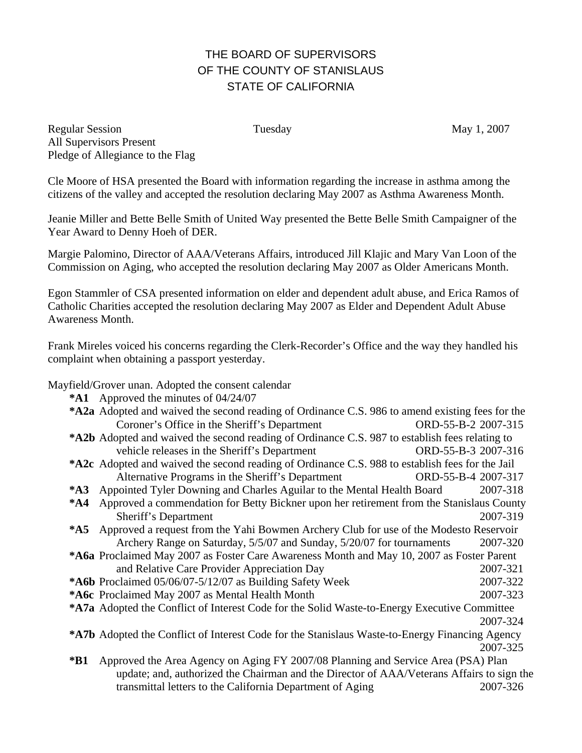## THE BOARD OF SUPERVISORS OF THE COUNTY OF STANISLAUS STATE OF CALIFORNIA

Regular Session Tuesday May 1, 2007 All Supervisors Present Pledge of Allegiance to the Flag

Cle Moore of HSA presented the Board with information regarding the increase in asthma among the citizens of the valley and accepted the resolution declaring May 2007 as Asthma Awareness Month.

Jeanie Miller and Bette Belle Smith of United Way presented the Bette Belle Smith Campaigner of the Year Award to Denny Hoeh of DER.

Margie Palomino, Director of AAA/Veterans Affairs, introduced Jill Klajic and Mary Van Loon of the Commission on Aging, who accepted the resolution declaring May 2007 as Older Americans Month.

Egon Stammler of CSA presented information on elder and dependent adult abuse, and Erica Ramos of Catholic Charities accepted the resolution declaring May 2007 as Elder and Dependent Adult Abuse Awareness Month.

Frank Mireles voiced his concerns regarding the Clerk-Recorder's Office and the way they handled his complaint when obtaining a passport yesterday.

Mayfield/Grover unan. Adopted the consent calendar

**\*A1** Approved the minutes of 04/24/07

| <b>*A2a</b> Adopted and waived the second reading of Ordinance C.S. 986 to amend existing fees for the |                     |
|--------------------------------------------------------------------------------------------------------|---------------------|
| Coroner's Office in the Sheriff's Department                                                           | ORD-55-B-2 2007-315 |
| <b>*A2b</b> Adopted and waived the second reading of Ordinance C.S. 987 to establish fees relating to  |                     |
| vehicle releases in the Sheriff's Department                                                           | ORD-55-B-3 2007-316 |

- **\*A2c** Adopted and waived the second reading of Ordinance C.S. 988 to establish fees for the Jail Alternative Programs in the Sheriff's Department ORD-55-B-4 2007-317
- **\*A3** Appointed Tyler Downing and Charles Aguilar to the Mental Health Board 2007-318
- **\*A4** Approved a commendation for Betty Bickner upon her retirement from the Stanislaus County Sheriff's Department 2007-319
- **\*A5** Approved a request from the Yahi Bowmen Archery Club for use of the Modesto Reservoir Archery Range on Saturday, 5/5/07 and Sunday, 5/20/07 for tournaments 2007-320
- **\*A6a** Proclaimed May 2007 as Foster Care Awareness Month and May 10, 2007 as Foster Parent and Relative Care Provider Appreciation Day 2007-321
- **\*A6b** Proclaimed 05/06/07-5/12/07 as Building Safety Week 2007-322

**\*A6c** Proclaimed May 2007 as Mental Health Month 2007-323

- **\*A7a** Adopted the Conflict of Interest Code for the Solid Waste-to-Energy Executive Committee 2007-324
- **\*A7b** Adopted the Conflict of Interest Code for the Stanislaus Waste-to-Energy Financing Agency 2007-325
- **\*B1** Approved the Area Agency on Aging FY 2007/08 Planning and Service Area (PSA) Plan update; and, authorized the Chairman and the Director of AAA/Veterans Affairs to sign the transmittal letters to the California Department of Aging 2007-326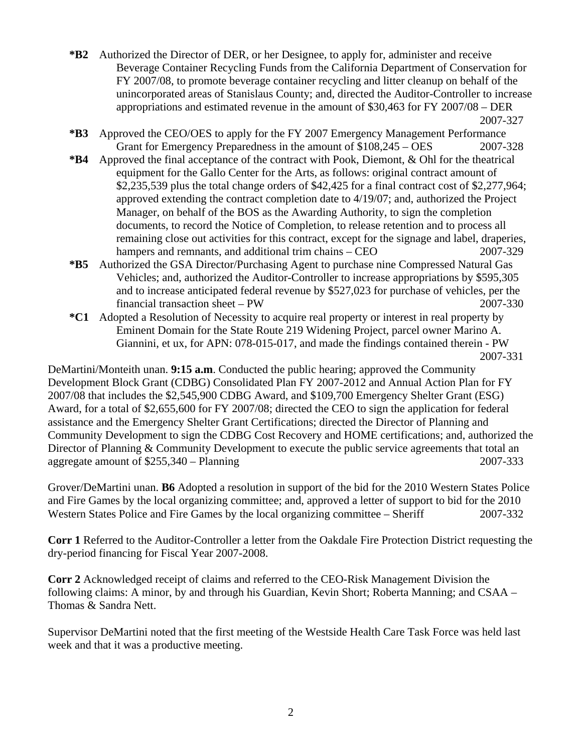- **\*B2** Authorized the Director of DER, or her Designee, to apply for, administer and receive Beverage Container Recycling Funds from the California Department of Conservation for FY 2007/08, to promote beverage container recycling and litter cleanup on behalf of the unincorporated areas of Stanislaus County; and, directed the Auditor-Controller to increase appropriations and estimated revenue in the amount of \$30,463 for FY 2007/08 – DER 2007-327
- **\*B3** Approved the CEO/OES to apply for the FY 2007 Emergency Management Performance Grant for Emergency Preparedness in the amount of  $$108,245 - OBS$  2007-328
- **\*B4** Approved the final acceptance of the contract with Pook, Diemont, & Ohl for the theatrical equipment for the Gallo Center for the Arts, as follows: original contract amount of \$2,235,539 plus the total change orders of \$42,425 for a final contract cost of \$2,277,964; approved extending the contract completion date to 4/19/07; and, authorized the Project Manager, on behalf of the BOS as the Awarding Authority, to sign the completion documents, to record the Notice of Completion, to release retention and to process all remaining close out activities for this contract, except for the signage and label, draperies, hampers and remnants, and additional trim chains – CEO 2007-329
- **\*B5** Authorized the GSA Director/Purchasing Agent to purchase nine Compressed Natural Gas Vehicles; and, authorized the Auditor-Controller to increase appropriations by \$595,305 and to increase anticipated federal revenue by \$527,023 for purchase of vehicles, per the financial transaction sheet – PW 2007-330
- **\*C1** Adopted a Resolution of Necessity to acquire real property or interest in real property by Eminent Domain for the State Route 219 Widening Project, parcel owner Marino A. Giannini, et ux, for APN: 078-015-017, and made the findings contained therein - PW 2007-331

DeMartini/Monteith unan. **9:15 a.m**. Conducted the public hearing; approved the Community Development Block Grant (CDBG) Consolidated Plan FY 2007-2012 and Annual Action Plan for FY 2007/08 that includes the \$2,545,900 CDBG Award, and \$109,700 Emergency Shelter Grant (ESG) Award, for a total of \$2,655,600 for FY 2007/08; directed the CEO to sign the application for federal assistance and the Emergency Shelter Grant Certifications; directed the Director of Planning and Community Development to sign the CDBG Cost Recovery and HOME certifications; and, authorized the Director of Planning & Community Development to execute the public service agreements that total an aggregate amount of \$255,340 – Planning 2007-333

Grover/DeMartini unan. **B6** Adopted a resolution in support of the bid for the 2010 Western States Police and Fire Games by the local organizing committee; and, approved a letter of support to bid for the 2010 Western States Police and Fire Games by the local organizing committee – Sheriff 2007-332

**Corr 1** Referred to the Auditor-Controller a letter from the Oakdale Fire Protection District requesting the dry-period financing for Fiscal Year 2007-2008.

**Corr 2** Acknowledged receipt of claims and referred to the CEO-Risk Management Division the following claims: A minor, by and through his Guardian, Kevin Short; Roberta Manning; and CSAA – Thomas & Sandra Nett.

Supervisor DeMartini noted that the first meeting of the Westside Health Care Task Force was held last week and that it was a productive meeting.